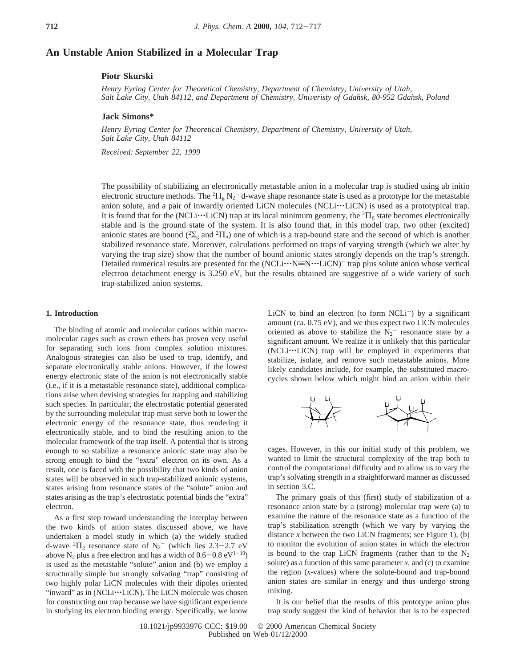# **An Unstable Anion Stabilized in a Molecular Trap**

# **Piotr Skurski**

Henry Eyring Center for Theoretical Chemistry, Department of Chemistry, University of Utah, *Salt Lake City, Utah 84112, and Department of Chemistry, Uni*V*eristy of Gdan*˜*sk, 80-952 Gdan*˜*sk, Poland*

## **Jack Simons\***

Henry Eyring Center for Theoretical Chemistry, Department of Chemistry, University of Utah, *Salt Lake City, Utah 84112*

*Recei*V*ed: September 22, 1999*

The possibility of stabilizing an electronically metastable anion in a molecular trap is studied using ab initio electronic structure methods. The  ${}^2\Pi_g$  N<sub>2</sub><sup>-</sup> d-wave shape resonance state is used as a prototype for the metastable anion solute, and a pair of inwardly oriented LiCN molecules (NCLi···LiCN) is used as a prototypical trap. It is found that for the (NCLi<sup>\*\*\*</sup>LiCN) trap at its local minimum geometry, the  ${}^{2}$  $\Pi_{g}$  state becomes electronically stable and is the ground state of the system. It is also found that in this model tran, two other stable and is the ground state of the system. It is also found that, in this model trap, two other (excited) anionic states are bound ( ${}^{2}\Sigma_{g}$  and  ${}^{2}\Pi_{u}$ ) one of which is a trap-bound state and the second of which is another stabilized resonance state. Moreover, calculations performed on traps of varying strength (which we alter by varying the trap size) show that the number of bound anionic states strongly depends on the trap's strength. Detailed numerical results are presented for the  $(NCLi \cdots N\equiv N \cdots LiCN)^{-1}$  trap plus solute anion whose vertical electron detachment energy is 3.250 eV, but the results obtained are suggestive of a wide variety of such trap-stabilized anion systems.

### **1. Introduction**

The binding of atomic and molecular cations within macromolecular cages such as crown ethers has proven very useful for separating such ions from complex solution mixtures. Analogous strategies can also be used to trap, identify, and separate electronically stable anions. However, if the lowest energy electronic state of the anion is not electronically stable (i.e., if it is a metastable resonance state), additional complications arise when devising strategies for trapping and stabilizing such species. In particular, the electrostatic potential generated by the surrounding molecular trap must serve both to lower the electronic energy of the resonance state, thus rendering it electronically stable, and to bind the resulting anion to the molecular framework of the trap itself. A potential that is strong enough to so stabilize a resonance anionic state may also be strong enough to bind the "extra" electron on its own. As a result, one is faced with the possibility that two kinds of anion states will be observed in such trap-stabilized anionic systems, states arising from resonance states of the "solute" anion and states arising as the trap's electrostatic potential binds the "extra" electron.

As a first step toward understanding the interplay between the two kinds of anion states discussed above, we have undertaken a model study in which (a) the widely studied d-wave  ${}^{2}H_g$  resonance state of N<sub>2</sub><sup>-</sup> (which lies 2.3–2.7 eV<br>above N<sub>2</sub> plus a free electron and has a width of 0.6–0.8 eV<sup>1–10</sup>) above N<sub>2</sub> plus a free electron and has a width of  $0.6-0.8 \text{ eV}^{1-10}$ ) is used as the metastable "solute" anion and (b) we employ a structurally simple but strongly solvating "trap" consisting of two highly polar LiCN molecules with their dipoles oriented "inward" as in (NCLi···LiCN). The LiCN molecule was chosen for constructing our trap because we have significant experience in studying its electron binding energy. Specifically, we know LiCN to bind an electron (to form  $NCLi^-$ ) by a significant amount (ca. 0.75 eV), and we thus expect two LiCN molecules oriented as above to stabilize the  $N_2$ <sup>-</sup> resonance state by a significant amount. We realize it is unlikely that this particular (NCLi···LiCN) trap will be employed in experiments that stabilize, isolate, and remove such metastable anions. More likely candidates include, for example, the substituted macrocycles shown below which might bind an anion within their



cages. However, in this our initial study of this problem, we wanted to limit the structural complexity of the trap both to control the computational difficulty and to allow us to vary the trap's solvating strength in a straightforward manner as discussed in section 3.C.

The primary goals of this (first) study of stabilization of a resonance anion state by a (strong) molecular trap were (a) to examine the nature of the resonance state as a function of the trap's stabilization strength (which we vary by varying the distance  $x$  between the two LiCN fragments; see Figure 1), (b) to monitor the evolution of anion states in which the electron is bound to the trap LiCN fragments (rather than to the  $N_2$ solute) as a function of this same parameter  $x$ , and  $(c)$  to examine the region (*x*-values) where the solute-bound and trap-bound anion states are similar in energy and thus undergo strong mixing.

It is our belief that the results of this prototype anion plus trap study suggest the kind of behavior that is to be expected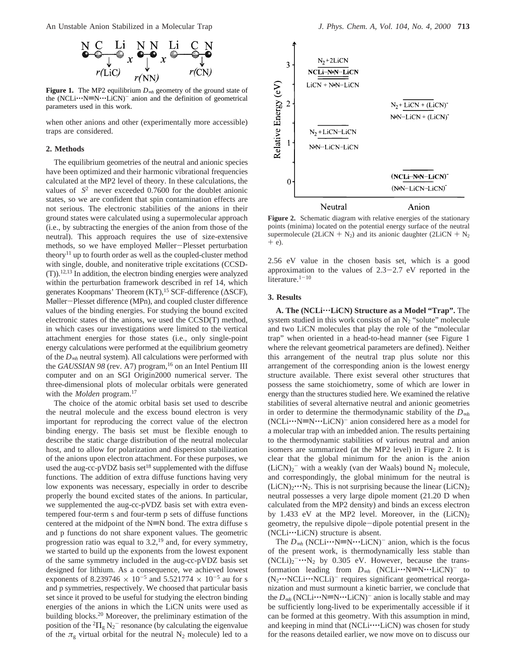An Unstable Anion Stabilized in a Molecular Trap *J. Phys. Chem. A, Vol. 104, No. 4, 2000* **713**



**Figure 1.** The MP2 equilibrium *D*∞*<sup>h</sup>* geometry of the ground state of the  $(NCLi...N\equiv N...LiCN)^{-}$  anion and the definition of geometrical parameters used in this work.

when other anions and other (experimentally more accessible) traps are considered.

## **2. Methods**

The equilibrium geometries of the neutral and anionic species have been optimized and their harmonic vibrational frequencies calculated at the MP2 level of theory. In these calculations, the values of  $\langle S^2 \rangle$  never exceeded 0.7600 for the doublet anionic states, so we are confident that spin contamination effects are not serious. The electronic stabilities of the anions in their ground states were calculated using a supermolecular approach (i.e., by subtracting the energies of the anion from those of the neutral). This approach requires the use of size-extensive methods, so we have employed Møller-Plesset perturbation theory<sup>11</sup> up to fourth order as well as the coupled-cluster method with single, double, and noniterative triple excitations (CCSD-  $(T)$ ).<sup>12,13</sup> In addition, the electron binding energies were analyzed within the perturbation framework described in ref 14, which generates Koopmans' Theorem (KT),<sup>15</sup> SCF-difference (ΔSCF), Møller-Plesset difference (MPn), and coupled cluster difference values of the binding energies. For studying the bound excited electronic states of the anions, we used the CCSD(T) method, in which cases our investigations were limited to the vertical attachment energies for those states (i.e., only single-point energy calculations were performed at the equilibrium geometry of the *D*∞*<sup>h</sup>* neutral system). All calculations were performed with the *GAUSSIAN 98* (rev. A7) program,<sup>16</sup> on an Intel Pentium III computer and on an SGI Origin2000 numerical server. The three-dimensional plots of molecular orbitals were generated with the *Molden* program.<sup>17</sup>

The choice of the atomic orbital basis set used to describe the neutral molecule and the excess bound electron is very important for reproducing the correct value of the electron binding energy. The basis set must be flexible enough to describe the static charge distribution of the neutral molecular host, and to allow for polarization and dispersion stabilization of the anions upon electron attachment. For these purposes, we used the aug-cc-pVDZ basis set<sup>18</sup> supplemented with the diffuse functions. The addition of extra diffuse functions having very low exponents was necessary, especially in order to describe properly the bound excited states of the anions. In particular, we supplemented the aug-cc-pVDZ basis set with extra eventempered four-term s and four-term p sets of diffuse functions centered at the midpoint of the  $N \equiv N$  bond. The extra diffuse s and p functions do not share exponent values. The geometric progression ratio was equal to  $3.2$ ,<sup>19</sup> and, for every symmetry, we started to build up the exponents from the lowest exponent of the same symmetry included in the aug-cc-pVDZ basis set designed for lithium. As a consequence, we achieved lowest exponents of 8.239746  $\times$  10<sup>-5</sup> and 5.521774  $\times$  10<sup>-5</sup> au for s and p symmetries, respectively. We choosed that particular basis set since it proved to be useful for studying the electron binding energies of the anions in which the LiCN units were used as building blocks.20 Moreover, the preliminary estimation of the position of the  ${}^{2}$  $\Pi_{g}$  N<sub>2</sub><sup>-</sup> resonance (by calculating the eigenvalue of the  $\pi_g$  virtual orbital for the neutral N<sub>2</sub> molecule) led to a



**Figure 2.** Schematic diagram with relative energies of the stationary points (minima) located on the potential energy surface of the neutral supermolecule (2LiCN +  $N_2$ ) and its anionic daughter (2LiCN +  $N_2$ )  $+$  e).

2.56 eV value in the chosen basis set, which is a good approximation to the values of  $2.3-2.7$  eV reported in the literature. $1-10$ 

## **3. Results**

**A. The (NCLi**'''**LiCN) Structure as a Model "Trap".** The system studied in this work consists of an  $N_2$  "solute" molecule and two LiCN molecules that play the role of the "molecular trap" when oriented in a head-to-head manner (see Figure 1 where the relevant geometrical parameters are defined). Neither this arrangement of the neutral trap plus solute nor this arrangement of the corresponding anion is the lowest energy structure available. There exist several other structures that possess the same stoichiometry, some of which are lower in energy than the structures studied here. We examined the relative stabilities of several alternative neutral and anionic geometries in order to determine the thermodynamic stability of the *D*∞*<sup>h</sup>*  $(NCLi...N \equiv N...LiCN)^{-}$  anion considered here as a model for a molecular trap with an imbedded anion. The results pertaining to the thermodynamic stabilities of various neutral and anion isomers are summarized (at the MP2 level) in Figure 2. It is clear that the global minimum for the anion is the anion  $(LiCN)_2$ <sup>-</sup> with a weakly (van der Waals) bound N<sub>2</sub> molecule, and correspondingly, the global minimum for the neutral is  $(LicN)<sub>2</sub>...N<sub>2</sub>$ . This is not surprising because the linear  $(LicN)<sub>2</sub>$ neutral possesses a very large dipole moment (21.20 D when calculated from the MP2 density) and binds an excess electron by 1.433 eV at the MP2 level. Moreover, in the  $(LiCN)_2$ geometry, the repulsive dipole-dipole potential present in the (NCLi…LiCN) structure is absent.

The *D*<sub>∞*h*</sub> (NCLi…N≡N…LiCN)<sup>-</sup> anion, which is the focus of the present work, is thermodynamically less stable than (NCLi)<sub>2</sub><sup>-...</sup> N<sub>2</sub> by 0.305 eV. However, because the trans-<br>formation leading from *D<sub>1</sub>* (NCI)<sup>-1</sup> i... N=N<sub>1</sub>... I<sub>.</sub>iCN)<sup>-</sup> to formation leading from  $D_{\infty h}$  (NCLi $\cdots$ N=N $\cdots$ LiCN)<sup>-</sup> to (N<sub>2</sub> $\cdots$ NCLi $\cdots$ NCLi)<sup>-</sup> requires significant geometrical reorganization and must surmount a kinetic barrier, we conclude that the  $D_{\infty h}$  (NCLi $\cdots$ N≡N $\cdots$ LiCN)<sup>-</sup> anion is locally stable and may be sufficiently long-lived to be experimentally accessible if it can be formed at this geometry. With this assumption in mind, and keeping in mind that (NCLi····LiCN) was chosen for study for the reasons detailed earlier, we now move on to discuss our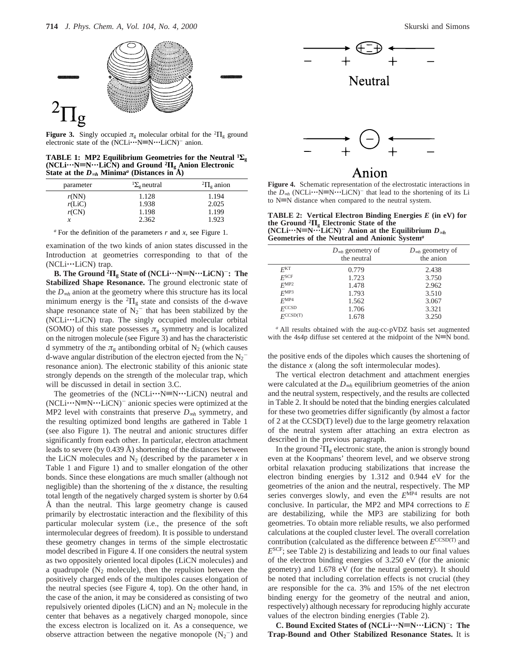

**Figure 3.** Singly occupied  $\pi_{g}$  molecular orbital for the <sup>2</sup> $\Pi_{g}$  ground electronic state of the  $(NCLi \cdot \cdot \cdot N \equiv N \cdot \cdot \cdot LiCN)^{-}$  anion.

**TABLE 1:** MP2 Equilibrium Geometries for the Neutral  ${}^{1}\Sigma_{g}$ **(NCLi**'''**N**t**N**'''**LiCN) and Ground <sup>2</sup>Π<sup>g</sup> Anion Electronic State at the** *D*∞*<sup>h</sup>* **Minima***<sup>a</sup>* **(Distances in Å)**

| ${}^{1}\Sigma_{\varphi}$ neutral | ${}^2\Pi_{\sigma}$ anion |
|----------------------------------|--------------------------|
| 1.128                            | 1.194                    |
| 1.938                            | 2.025                    |
| 1.198                            | 1.199                    |
| 2.362                            | 1.923                    |
|                                  |                          |

*<sup>a</sup>* For the definition of the parameters *r* and *x,* see Figure 1.

examination of the two kinds of anion states discussed in the Introduction at geometries corresponding to that of the (NCLi···LiCN) trap.

**B.** The Ground  ${}^{2}$  $\Pi_{g}$  **State of (NCLi** $\cdots$ **N** $\equiv$ **N** $\cdots$ **LiCN**)<sup>-</sup>: The **Stabilized Shape Resonance.** The ground electronic state of the *D*∞*<sup>h</sup>* anion at the geometry where this structure has its local minimum energy is the  ${}^{2} \Pi_{g}$  state and consists of the d-wave shape resonance state of  $N_2$ <sup>-</sup> that has been stabilized by the (NCLi'''LiCN) trap. The singly occupied molecular orbital (SOMO) of this state possesses  $\pi_{g}$  symmetry and is localized on the nitrogen molecule (see Figure 3) and has the characteristic d symmetry of the  $\pi_{g}$  antibonding orbital of N<sub>2</sub> (which causes d-wave angular distribution of the electron ejected from the  $N_2^$ resonance anion). The electronic stability of this anionic state strongly depends on the strength of the molecular trap, which will be discussed in detail in section 3.C.

The geometries of the  $(NCLi...N\equiv N...LiCN)$  neutral and  $(NCLi...N=N...LiCN)^-$  anionic species were optimized at the MP2 level with constraints that preserve *D*∞*<sup>h</sup>* symmetry, and the resulting optimized bond lengths are gathered in Table 1 (see also Figure 1). The neutral and anionic structures differ significantly from each other. In particular, electron attachment leads to severe (by 0.439 Å) shortening of the distances between the LiCN molecules and  $N_2$  (described by the parameter  $x$  in Table 1 and Figure 1) and to smaller elongation of the other bonds. Since these elongations are much smaller (although not negligible) than the shortening of the *x* distance, the resulting total length of the negatively charged system is shorter by 0.64 Å than the neutral. This large geometry change is caused primarily by electrostatic interaction and the flexibility of this particular molecular system (i.e., the presence of the soft intermolecular degrees of freedom). It is possible to understand these geometry changes in terms of the simple electrostatic model described in Figure 4. If one considers the neutral system as two oppositely oriented local dipoles (LiCN molecules) and a quadrupole  $(N_2 \text{ molecule})$ , then the repulsion between the positively charged ends of the multipoles causes elongation of the neutral species (see Figure 4, top). On the other hand, in the case of the anion, it may be considered as consisting of two repulsively oriented dipoles (LiCN) and an  $N_2$  molecule in the center that behaves as a negatively charged monopole, since the excess electron is localized on it. As a consequence, we observe attraction between the negative monopole  $(N_2^-)$  and







# ∖nı∩n

**Figure 4.** Schematic representation of the electrostatic interactions in the  $D_{\infty h}$  (NCLi $\cdots$ N≡N $\cdots$ LiCN)<sup>-</sup> that lead to the shortening of its Li to  $N=N$  distance when compared to the neutral system.

**TABLE 2: Vertical Electron Binding Energies** *E* **(in eV) for the Ground <sup>2</sup><b>Π**<sub>g</sub> Electronic State of the<br>(NCLi…'N≡N…LiCN)<sup>-</sup> Anion at the Equilibrium *D∞h*<br>Geometries of the Neutral and Anionic System<sup>a</sup> **Geometries of the Neutral and Anionic System***<sup>a</sup>*

|                   | $D_{\infty h}$ geometry of<br>the neutral | $D_{\infty h}$ geometry of<br>the anion |
|-------------------|-------------------------------------------|-----------------------------------------|
| E <sup>KT</sup>   | 0.779                                     | 2.438                                   |
| F <sup>SCF</sup>  | 1.723                                     | 3.750                                   |
| $F^{\text{MP2}}$  | 1.478                                     | 2.962                                   |
| F <sup>MP3</sup>  | 1.793                                     | 3.510                                   |
| F <sup>MP4</sup>  | 1.562                                     | 3.067                                   |
| $F^{\text{CCSD}}$ | 1.706                                     | 3.321                                   |
| FCCSD(T)          | 1.678                                     | 3.250                                   |

*<sup>a</sup>* All results obtained with the aug-cc-pVDZ basis set augmented with the 4s4p diffuse set centered at the midpoint of the  $N=N$  bond.

the positive ends of the dipoles which causes the shortening of the distance *x* (along the soft intermolecular modes).

The vertical electron detachment and attachment energies were calculated at the *D*∞*<sup>h</sup>* equilibrium geometries of the anion and the neutral system, respectively, and the results are collected in Table 2. It should be noted that the binding energies calculated for these two geometries differ significantly (by almost a factor of 2 at the CCSD(T) level) due to the large geometry relaxation of the neutral system after attaching an extra electron as described in the previous paragraph.

In the ground  ${}^{2}\Pi_{g}$  electronic state, the anion is strongly bound even at the Koopmans' theorem level, and we observe strong orbital relaxation producing stabilizations that increase the electron binding energies by 1.312 and 0.944 eV for the geometries of the anion and the neutral, respectively. The MP series converges slowly, and even the  $E^{\text{MP4}}$  results are not conclusive. In particular, the MP2 and MP4 corrections to *E* are destabilizing, while the MP3 are stabilizing for both geometries. To obtain more reliable results, we also performed calculations at the coupled cluster level. The overall correlation contribution (calculated as the difference between *E*CCSD(T) and *E*SCF; see Table 2) is destabilizing and leads to our final values of the electron binding energies of 3.250 eV (for the anionic geometry) and 1.678 eV (for the neutral geometry). It should be noted that including correlation effects is not crucial (they are responsible for the ca. 3% and 15% of the net electron binding energy for the geometry of the neutral and anion, respectively) although necessary for reproducing highly accurate values of the electron binding energies (Table 2).

**C. Bound Excited States of (NCLi**'''**N**t**N**'''**LiCN)**-**: The Trap-Bound and Other Stabilized Resonance States.** It is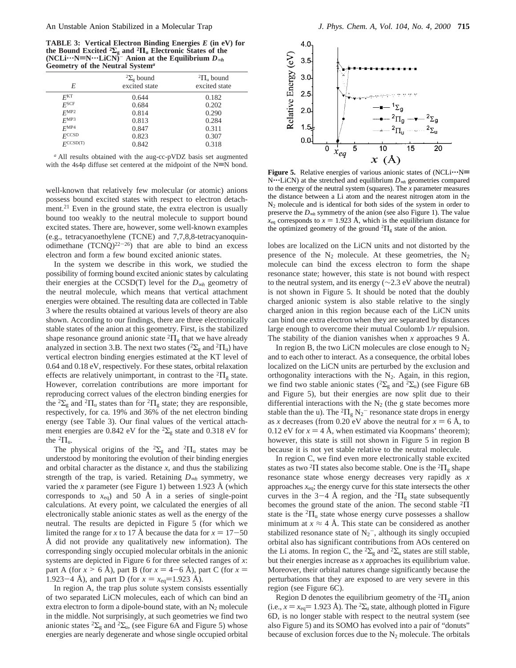**TABLE 3: Vertical Electron Binding Energies** *E* **(in eV) for the Bound Excited** <sup>2</sup>Σ<sub>β</sub> and <sup>2</sup>Π<sub>*u*</sub> Electronic States of the (NCLi<sup>·</sup>''N≡N·''LiCN)<sup>−</sup> Anion at the Equilibrium *D*<sub>∞*h*</sub> Geometry of the Neutral System<sup>*a*</sup> **Geometry of the Neutral System***<sup>a</sup>*

| $\sigma$ . $\sigma$ and $\sigma$ and $\sigma$ is the set of $\sigma$ is the set of $\sigma$ |                                                 |  |
|---------------------------------------------------------------------------------------------|-------------------------------------------------|--|
| ${}^{2}\Sigma_{\rm e}$ bound<br>excited state                                               | ${}^{2}\Pi_{\mathrm{u}}$ bound<br>excited state |  |
| 0.644                                                                                       | 0.182                                           |  |
| 0.684                                                                                       | 0.202                                           |  |
| 0.814                                                                                       | 0.290                                           |  |
| 0.813                                                                                       | 0.284                                           |  |
| 0.847                                                                                       | 0.311                                           |  |
| 0.823                                                                                       | 0.307                                           |  |
| 0.842                                                                                       | 0.318                                           |  |
|                                                                                             |                                                 |  |

*<sup>a</sup>* All results obtained with the aug-cc-pVDZ basis set augmented with the 4s4p diffuse set centered at the midpoint of the  $N \equiv N$  bond.

well-known that relatively few molecular (or atomic) anions possess bound excited states with respect to electron detachment.<sup>21</sup> Even in the ground state, the extra electron is usually bound too weakly to the neutral molecule to support bound excited states. There are, however, some well-known examples (e.g., tetracyanoethylene (TCNE) and 7,7,8,8-tetracyanoquinodimethane  $(TCNO)^{22-26}$ ) that are able to bind an excess electron and form a few bound excited anionic states.

In the system we describe in this work, we studied the possibility of forming bound excited anionic states by calculating their energies at the CCSD(T) level for the *D*∞*<sup>h</sup>* geometry of the neutral molecule, which means that vertical attachment energies were obtained. The resulting data are collected in Table 3 where the results obtained at various levels of theory are also shown. According to our findings, there are three electronically stable states of the anion at this geometry. First, is the stabilized shape resonance ground anionic state  ${}^{2}$  $\Pi_{g}$  that we have already analyzed in section 3.B. The next two states ( ${}^{2}\Sigma_{g}$  and  ${}^{2}\Pi_{u}$ ) have vertical electron binding energies estimated at the KT level of 0.64 and 0.18 eV, respectively. For these states, orbital relaxation effects are relatively unimportant, in contrast to the  ${}^{2}$  $\Pi_{g}$  state. However, correlation contributions are more important for reproducing correct values of the electron binding energies for the <sup>2</sup> $\Sigma$ <sub>g</sub> and <sup>2</sup> $\Pi$ <sub>u</sub> states than for <sup>2</sup> $\Pi$ <sub>g</sub> state; they are responsible, respectively, for ca. 19% and 36% of the net electron binding energy (see Table 3). Our final values of the vertical attachment energies are 0.842 eV for the  ${}^{2}\Sigma_{\rm g}$  state and 0.318 eV for the  ${}^{2} \Pi_{u}$ .

The physical origins of the <sup>2</sup> $\Sigma$ <sub>g</sub> and <sup>2</sup> $\Pi$ <sub>u</sub> states may be understood by monitoring the evolution of their binding energies and orbital character as the distance  $x$ , and thus the stabilizing strength of the trap, is varied. Retaining *D*∞*<sup>h</sup>* symmetry, we varied the *x* parameter (see Figure 1) between 1.923 Å (which corresponds to  $x_{eq}$ ) and 50 Å in a series of single-point calculations. At every point, we calculated the energies of all electronically stable anionic states as well as the energy of the neutral. The results are depicted in Figure 5 (for which we limited the range for *x* to 17 Å because the data for  $x = 17-50$ Å did not provide any qualitatively new information). The corresponding singly occupied molecular orbitals in the anionic systems are depicted in Figure 6 for three selected ranges of *x*: part A (for  $x > 6$  Å), part B (for  $x = 4-6$  Å), part C (for  $x =$ 1.923-4 Å), and part D (for  $x = x_{eq} = 1.923$  Å).

In region A, the trap plus solute system consists essentially of two separated LiCN molecules, each of which can bind an extra electron to form a dipole-bound state, with an  $N_2$  molecule in the middle. Not surprisingly, at such geometries we find two anionic states  ${}^{2}\Sigma_{g}$  and  ${}^{2}\Sigma_{u}$ , (see Figure 6A and Figure 5) whose energies are nearly degenerate and whose single occupied orbital



**Figure 5.** Relative energies of various anionic states of (NCLi $\cdots$ N= N<sup>\*\*\*</sup>LiCN) at the stretched and equilibrium *D*<sub>∞*h*</sub> geometries compared to the energy of the neutral system (squares). The *x* parameter measures the distance between a Li atom and the nearest nitrogen atom in the N2 molecule and is identical for both sides of the system in order to preserve the *D*∞*<sup>h</sup>* symmetry of the anion (see also Figure 1). The value  $x_{eq}$  corresponds to  $x = 1.923$  Å, which is the equilibrium distance for the optimized geometry of the ground  ${}^{2} \Pi_{g}$  state of the anion.

lobes are localized on the LiCN units and not distorted by the presence of the  $N_2$  molecule. At these geometries, the  $N_2$ molecule can bind the excess electron to form the shape resonance state; however, this state is not bound with respect to the neutral system, and its energy (∼2.3 eV above the neutral) is not shown in Figure 5. It should be noted that the doubly charged anionic system is also stable relative to the singly charged anion in this region because each of the LiCN units can bind one extra electron when they are separated by distances large enough to overcome their mutual Coulomb 1/*r* repulsion. The stability of the dianion vanishes when *x* approaches 9 Å.

In region B, the two LiCN molecules are close enough to  $N_2$ and to each other to interact. As a consequence, the orbital lobes localized on the LiCN units are perturbed by the exclusion and orthogonality interactions with the  $N_2$ . Again, in this region, we find two stable anionic states ( ${}^{2}\Sigma_{g}$  and  ${}^{2}\Sigma_{u}$ ) (see Figure 6B and Figure 5), but their energies are now split due to their differential interactions with the  $N_2$  (the g state becomes more stable than the u). The  ${}^{2}H_{g}N_{2}{}^{-}$  resonance state drops in energy as *x* decreases (from 0.20 eV above the neutral for  $x = 6$  Å, to 0.12 eV for  $x = 4$  Å, when estimated via Koopmans' theorem); however, this state is still not shown in Figure 5 in region B because it is not yet stable relative to the neutral molecule.

In region C, we find even more electronically stable excited states as two <sup>2</sup>Π states also become stable. One is the <sup>2</sup>Π<sub>g</sub> shape resonance state whose energy decreases very rapidly as *x* approaches  $x_{eq}$ ; the energy curve for this state intersects the other curves in the 3-4 Å region, and the  ${}^{2}$  $\Pi_{g}$  state subsequently becomes the ground state of the anion. The second stable  ${}^{2}\Pi$ state is the  ${}^{2}$  $\Pi$ <sub>u</sub> state whose energy curve possesses a shallow minimum at  $x \approx 4$  Å. This state can be considered as another stabilized resonance state of  $N_2$ <sup>-</sup>, although its singly occupied orbital also has significant contributions from AOs centered on the Li atoms. In region C, the <sup>2</sup> $\Sigma_{\rm g}$  and <sup>2</sup> $\Sigma_{\rm u}$  states are still stable, but their energies increase as *x* approaches its equilibrium value. Moreover, their orbital natures change significantly because the perturbations that they are exposed to are very severe in this region (see Figure 6C).

Region D denotes the equilibrium geometry of the  ${}^{2}$  $\Pi_{g}$  anion (i.e.,  $x = x_{eq} = 1.923$  Å). The <sup>2</sup> $\Sigma_u$  state, although plotted in Figure 6D, is no longer stable with respect to the neutral system (see also Figure 5) and its SOMO has evolved into a pair of "donuts" because of exclusion forces due to the  $N_2$  molecule. The orbitals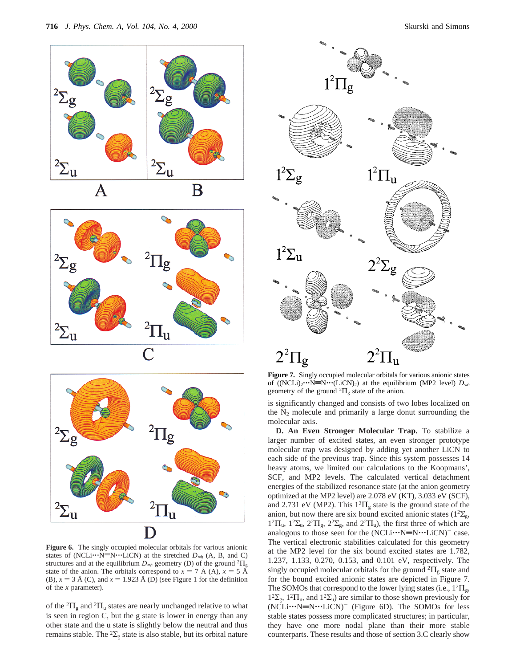







**Figure 6.** The singly occupied molecular orbitals for various anionic states of (NCLi $\cdots$ N≡N $\cdots$ LiCN) at the stretched  $D_{\infty h}$  (A, B, and C) structures and at the equilibrium  $D_{\infty h}$  geometry (D) of the ground <sup>2</sup> $\Pi_{\rm g}$ state of the anion. The orbitals correspond to  $x = 7$  Å (A),  $x = 5$  Å (B),  $x = 3$  Å (C), and  $x = 1.923$  Å (D) (see Figure 1 for the definition of the *x* parameter).

of the  ${}^{2}$  $\Pi_{\rm g}$  and  ${}^{2}$  $\Pi_{\rm u}$  states are nearly unchanged relative to what is seen in region C, but the g state is lower in energy than any other state and the u state is slightly below the neutral and thus remains stable. The <sup>2</sup> $\Sigma$ <sub>g</sub> state is also stable, but its orbital nature



**Figure 7.** Singly occupied molecular orbitals for various anionic states of ((NCLi)<sub>2</sub> $\cdots$ N=N $\cdots$ (LiCN)<sub>2</sub>) at the equilibrium (MP2 level)  $D_{\infty h}$ geometry of the ground  ${}^{2}\Pi_{g}$  state of the anion.

is significantly changed and consists of two lobes localized on the  $N_2$  molecule and primarily a large donut surrounding the molecular axis.

**D. An Even Stronger Molecular Trap.** To stabilize a larger number of excited states, an even stronger prototype molecular trap was designed by adding yet another LiCN to each side of the previous trap. Since this system possesses 14 heavy atoms, we limited our calculations to the Koopmans', SCF, and MP2 levels. The calculated vertical detachment energies of the stabilized resonance state (at the anion geometry optimized at the MP2 level) are 2.078 eV (KT), 3.033 eV (SCF), and 2.731 eV (MP2). This  $1^{2}\Pi_{g}$  state is the ground state of the anion, but now there are six bound excited anionic states ( $1^2\Sigma_{g}$ ,  $1^2\Pi_u$ ,  $1^2\Sigma_u$ ,  $2^2\Pi_g$ ,  $2^2\Sigma_g$ , and  $2^2\Pi_u$ ), the first three of which are analogous to those seen for the  $(NCLi...N\equiv N...LiCN)^{-}$  case. The vertical electronic stabilities calculated for this geometry at the MP2 level for the six bound excited states are 1.782, 1.237, 1.133, 0.270, 0.153, and 0.101 eV, respectively. The singly occupied molecular orbitals for the ground  ${}^{2} \Pi_{g}$  state and for the bound excited anionic states are depicted in Figure 7. The SOMOs that correspond to the lower lying states (i.e.,  $1^2\Pi_g$ ,  $1<sup>2</sup>\Sigma_{g}$ ,  $1<sup>2</sup>\Pi_{u}$ , and  $1<sup>2</sup>\Sigma_{u}$ ) are similar to those shown previously for (NCLi···N=N···LiCN)<sup>-</sup> (Figure 6D). The SOMOs for less stable states possess more complicated structures; in particular, they have one more nodal plane than their more stable counterparts. These results and those of section 3.C clearly show